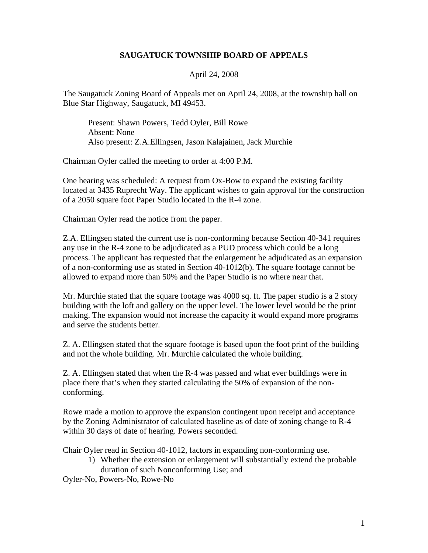## **SAUGATUCK TOWNSHIP BOARD OF APPEALS**

## April 24, 2008

The Saugatuck Zoning Board of Appeals met on April 24, 2008, at the township hall on Blue Star Highway, Saugatuck, MI 49453.

Present: Shawn Powers, Tedd Oyler, Bill Rowe Absent: None Also present: Z.A.Ellingsen, Jason Kalajainen, Jack Murchie

Chairman Oyler called the meeting to order at 4:00 P.M.

One hearing was scheduled: A request from Ox-Bow to expand the existing facility located at 3435 Ruprecht Way. The applicant wishes to gain approval for the construction of a 2050 square foot Paper Studio located in the R-4 zone.

Chairman Oyler read the notice from the paper.

Z.A. Ellingsen stated the current use is non-conforming because Section 40-341 requires any use in the R-4 zone to be adjudicated as a PUD process which could be a long process. The applicant has requested that the enlargement be adjudicated as an expansion of a non-conforming use as stated in Section 40-1012(b). The square footage cannot be allowed to expand more than 50% and the Paper Studio is no where near that.

Mr. Murchie stated that the square footage was 4000 sq. ft. The paper studio is a 2 story building with the loft and gallery on the upper level. The lower level would be the print making. The expansion would not increase the capacity it would expand more programs and serve the students better.

Z. A. Ellingsen stated that the square footage is based upon the foot print of the building and not the whole building. Mr. Murchie calculated the whole building.

Z. A. Ellingsen stated that when the R-4 was passed and what ever buildings were in place there that's when they started calculating the 50% of expansion of the nonconforming.

Rowe made a motion to approve the expansion contingent upon receipt and acceptance by the Zoning Administrator of calculated baseline as of date of zoning change to R-4 within 30 days of date of hearing. Powers seconded.

Chair Oyler read in Section 40-1012, factors in expanding non-conforming use.

1) Whether the extension or enlargement will substantially extend the probable duration of such Nonconforming Use; and

Oyler-No, Powers-No, Rowe-No